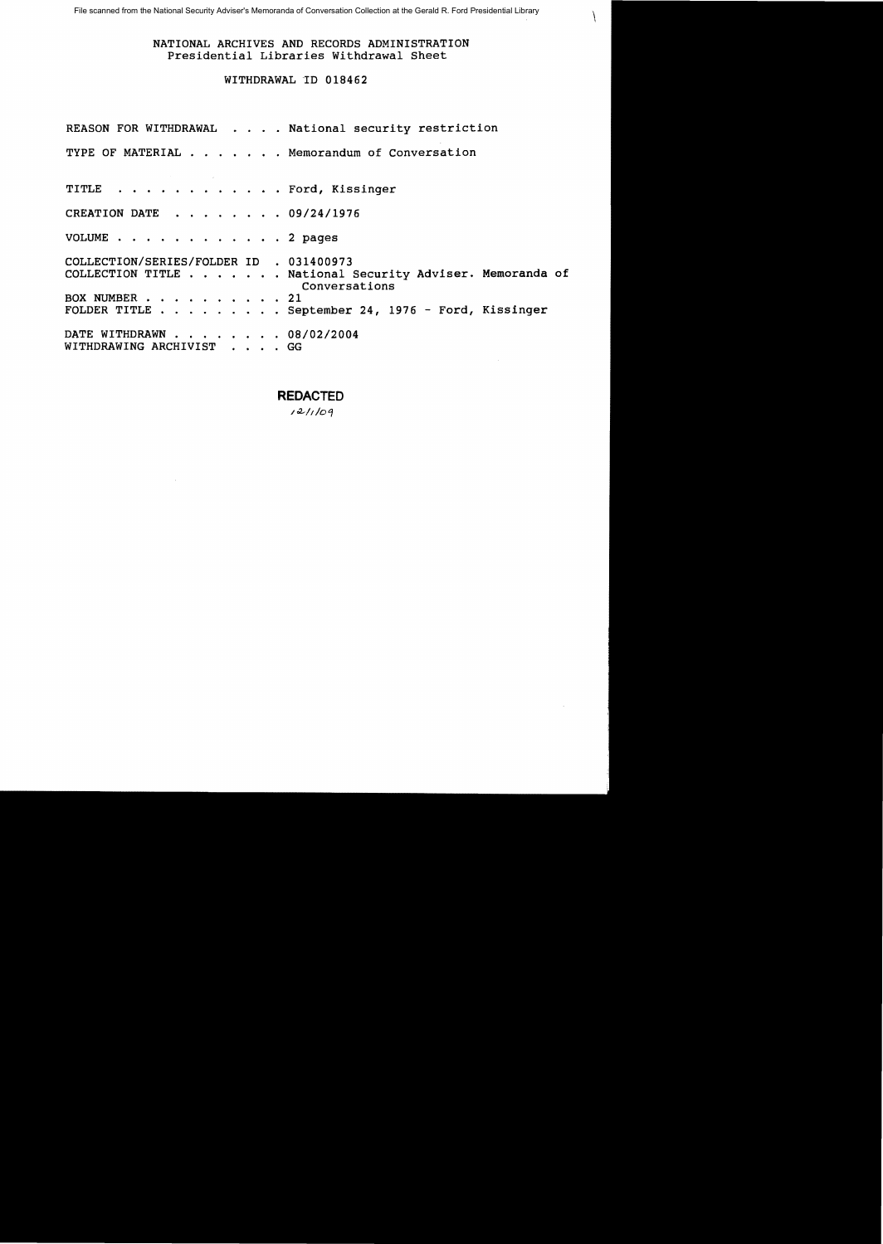$\setminus$ 

## NATIONAL ARCHIVES AND RECORDS ADMINISTRATION Presidential Libraries Withdrawal Sheet

# WITHDRAWAL 'ID 018462

|                                                       |  | REASON FOR WITHDRAWAL National security restriction                       |
|-------------------------------------------------------|--|---------------------------------------------------------------------------|
|                                                       |  | TYPE OF MATERIAL Memorandum of Conversation                               |
| TITLE Ford, Kissinger                                 |  |                                                                           |
| CREATION DATE 09/24/1976                              |  |                                                                           |
| VOLUME 2 pages                                        |  |                                                                           |
| COLLECTION/SERIES/FOLDER ID . 031400973               |  | COLLECTION TITLE National Security Adviser. Memoranda of<br>Conversations |
| BOX NUMBER 21                                         |  | FOLDER TITLE $\ldots$ September 24, 1976 - Ford, Kissinger                |
| DATE WITHDRAWN 08/02/2004<br>WITHDRAWING ARCHIVIST GG |  |                                                                           |

**REDACTED** 

 $121/109$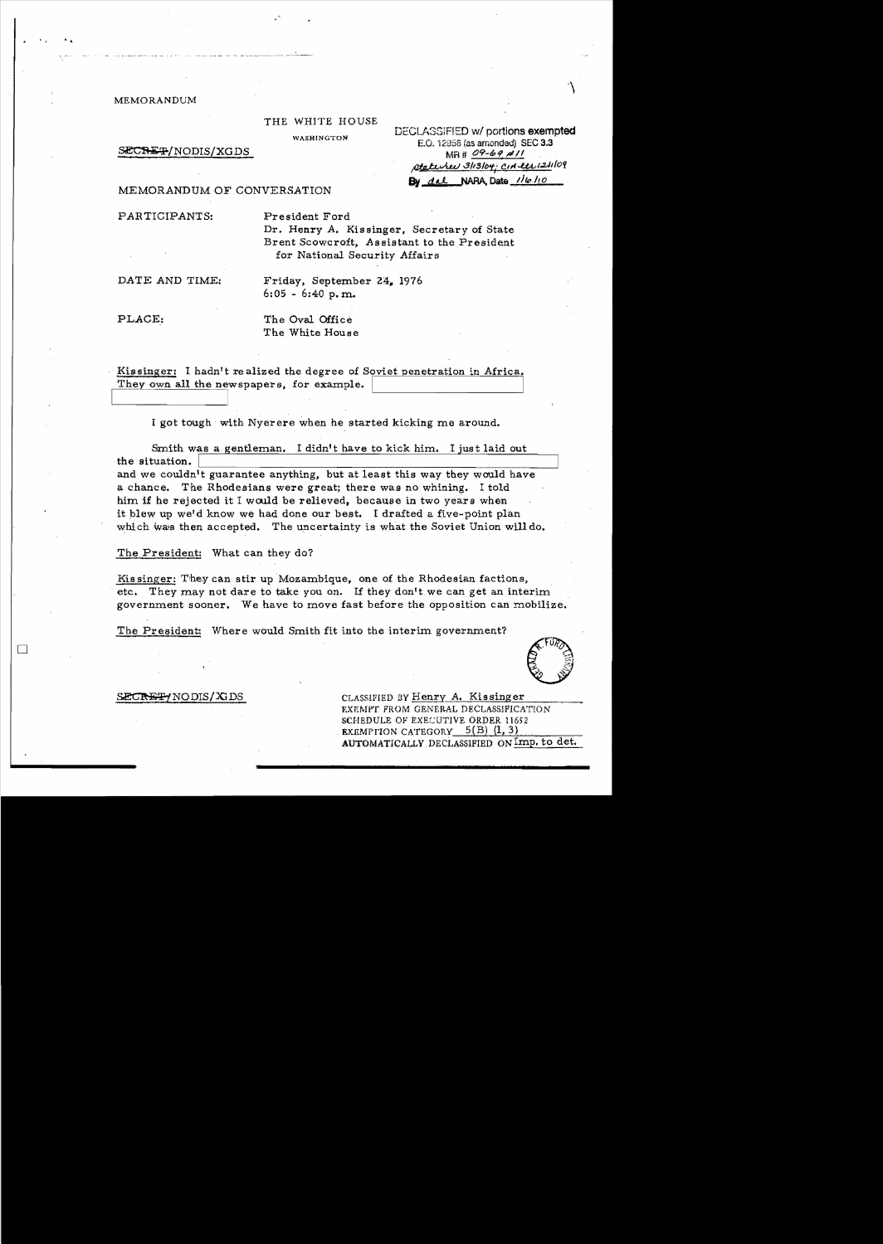MEMORANDUM

• I ....

### THE WHITE HOUSE

WASHINGTON DECLASSIFIED W/ portions exempted<br>E.O. 12958 (as amonded) SEC 3.3<br>MR # 09-69 MR | 109-69 MR | 109-10 ptate *J* 3/13/04; CIA ett 124/09 By dal NARA, Date  $1/\nu$  10

#### MEMORANDUM OF CONVERSATION

PARTICIPANTS: President Ford

Dr. Henry A. Kissinger, Secretary of State Brent Scowcroft, Assistant to the President for National Security Affairs

DATE AND TIME: Friday, September 24, 1976 6:05 - 6:40 p. m.

I

PLACE: The Oval Office The White House

. Kissinger: I hadn't realized the degree of Soviet penetration in Africa. They own all the newspapers, for example.

I got tough with Nyerere when he started kicking me around.

Smith was a gentleman. I didn't have to kick him. I just laid out the situation. the situation.  $\overline{\phantom{a}}$  and we couldn't guarantee anything, but at least this way they would have a chance. The Rhodesians were great; there was no whining. I told him if he rejected it I would be relieved, because in two years when it blew up we'd know we had done our best. I drafted a five-point plan which was then accepted. The uncertainty is what the Soviet Union will do.

The President: What can they do?

Kis singer: They can stir up Mozambique, one of the Rhodesian factions, etc. They may not dare to take you on. If they don't we can get an interim government sooner. We have to move fast before the opposition can mobilize.

The President: Where would Smith fit into the interim government?

EXEMPT FROM GENERAL DECLASSIFICATION SCHEDULE OF EXECUTIVE ORDER 11652 EXEMPTION CATEGORY  $5(B)$   $(1, 3)$ 

AUTOMATICALLY DECLASSIFIED ON Imp. to det.

**ECRET/NODIS/XDS** CLASSIFIED BY Henry A. Kissinger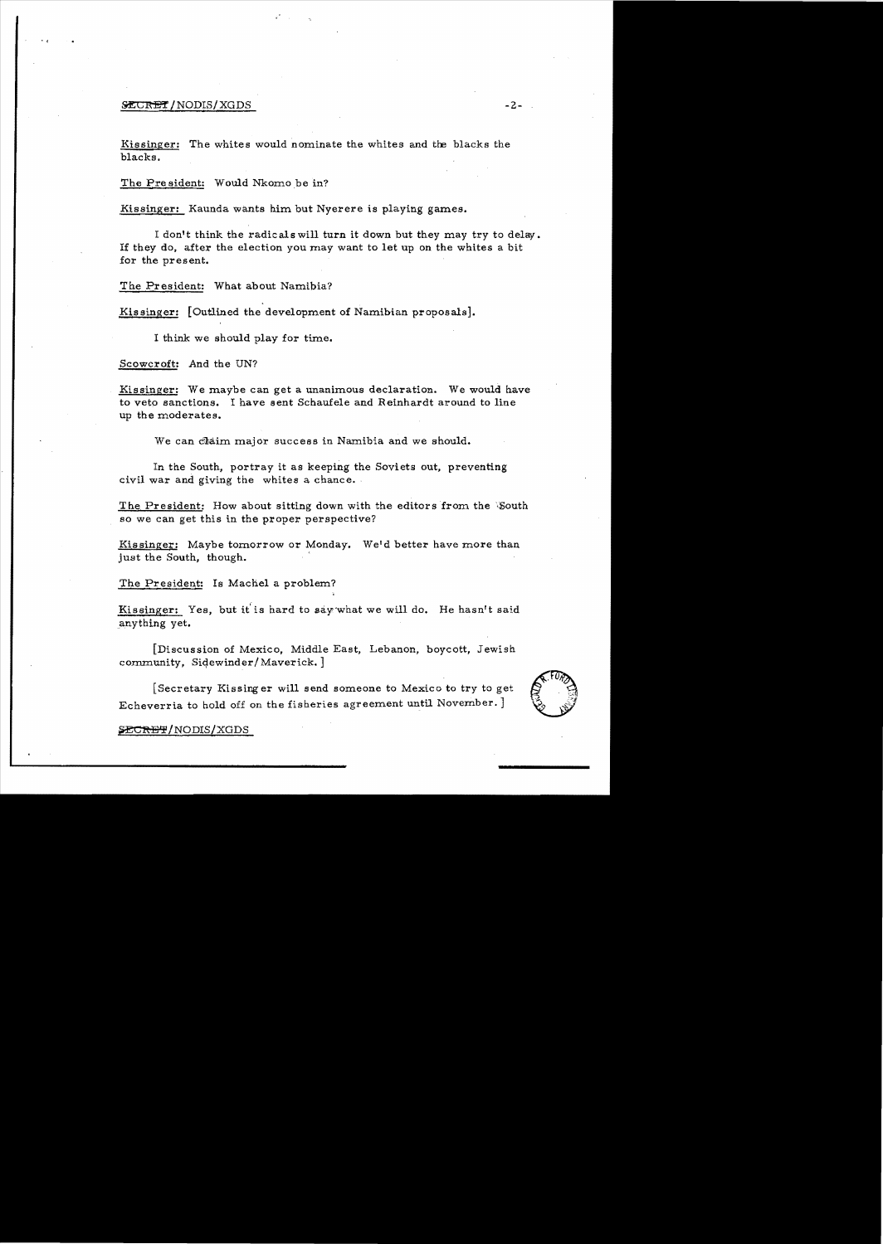## $\tt 2$ -  $\tt 2$ -  $\tt -2$ -  $\tt -2$

· (

Kissinger: The whites would nominate the whites and the blacks the blacks.

The President: Would Nkomo be in?

Kissinger: Kaunda wants him but Nyerere is playing games.

I don't think the radicals will turn it down but they may try to delay. If they do, after the election you may want to let up on the whites a bit for the present.

The President: What about Namibia?

Kissinger: [Outlined the development of Namibian proposals].

I think we should play for time.

Scowcroft: And the UN?

Kissinger: We maybe can get a unanimous declaration. We would have to veto sanctions. I have sent Schaufele and Reinhardt around to line up the moderates.

We can claim major success in Namibia and we should.

In the South, portray it as keeping the Soviets out, preventing civil war and giving the whites a chance.

The President: How about sitting down with the editors from the 'South' so we can get this in the proper perspective?

Kissinger: Maybe tomorrow or Monday. Weld better have more than just the South, though.

The President: Is Machel a problem?

Kissinger: Yes, but it'is hard to say·what we will do, He hasn't said anything yet.

[Discussion of Mexico, Middle East, Lebanon, boycott, Jewish  $commuity$ . Sidewinder/Maverick.

[Secretary Kissing er will send someone to Mexico to try to get Echeverria to hold off on the fisberies agreement until November. ]



## SECRET/NODIS/XGDS